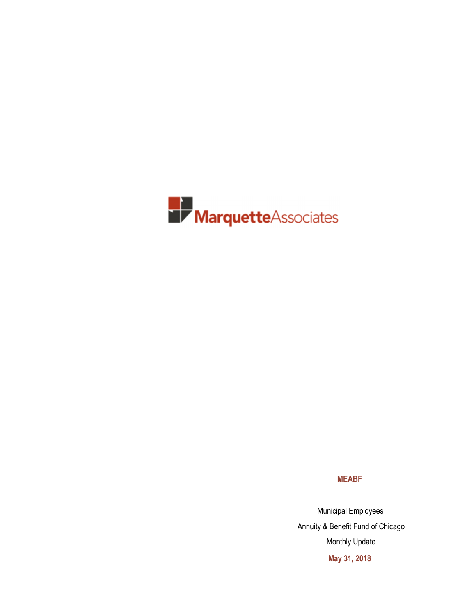

**MEABF**

Municipal Employees' Annuity & Benefit Fund of Chicago Monthly Update **May 31, 2018**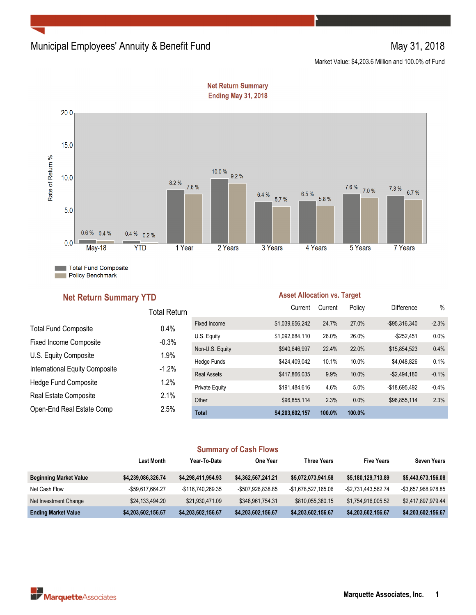## Municipal Employees' Annuity & Benefit Fund May 31, 2018

Market Value: \$4,203.6 Million and 100.0% of Fund



**Net Return Summary Ending May 31, 2018** 

#### **Net Return Summary YTD**

#### **Asset Allocation vs. Target**

|                                | Total Return |                       | Current         | Current | Policy | <b>Difference</b> | $\%$    |
|--------------------------------|--------------|-----------------------|-----------------|---------|--------|-------------------|---------|
| <b>Total Fund Composite</b>    | 0.4%         | <b>Fixed Income</b>   | \$1,039,656,242 | 24.7%   | 27.0%  | $-$95,316,340$    | $-2.3%$ |
|                                | $-0.3%$      | U.S. Equity           | \$1,092,684,110 | 26.0%   | 26.0%  | $-$252,451$       | 0.0%    |
| <b>Fixed Income Composite</b>  |              | Non-U.S. Equity       | \$940,646,997   | 22.4%   | 22.0%  | \$15,854,523      | 0.4%    |
| U.S. Equity Composite          | 1.9%         | Hedge Funds           | \$424,409,042   | 10.1%   | 10.0%  | \$4.048.826       | 0.1%    |
| International Equity Composite | $-1.2%$      | <b>Real Assets</b>    | \$417,866,035   | 9.9%    | 10.0%  | $-$2,494,180$     | $-0.1%$ |
| Hedge Fund Composite           | 1.2%         | <b>Private Equity</b> | \$191,484,616   | 4.6%    | 5.0%   | -\$18.695.492     | $-0.4%$ |
| Real Estate Composite          | 2.1%         | Other                 | \$96,855,114    | 2.3%    | 0.0%   | \$96,855,114      | 2.3%    |
| Open-End Real Estate Comp      | 2.5%         | <b>Total</b>          | \$4,203,602,157 | 100.0%  | 100.0% |                   |         |

#### **Summary of Cash Flows**

|                               | <b>Last Month</b>  | Year To Date       | One Year           | <b>Three Years</b>  | <b>Five Years</b>   | <b>Seven Years</b>  |
|-------------------------------|--------------------|--------------------|--------------------|---------------------|---------------------|---------------------|
| <b>Beginning Market Value</b> | \$4,239,086,326.74 | \$4,298,411,954.93 | \$4,362,567,241.21 | \$5,072,073,941.58  | \$5,180,129,713.89  | \$5,443,673,156.08  |
| Net Cash Flow                 | -\$59,617,664.27   | -\$116.740.269.35  | -\$507,926,838.85  | -\$1,678,527,165.06 | -\$2,731,443,562.74 | -\$3,657,968,978.85 |
| Net Investment Change         | \$24,133,494.20    | \$21,930,471.09    | \$348,961,754.31   | \$810,055,380.15    | \$1,754,916,005.52  | \$2,417,897,979.44  |
| <b>Ending Market Value</b>    | \$4,203,602,156.67 | \$4,203,602,156.67 | \$4,203,602,156.67 | \$4,203,602,156.67  | \$4,203,602,156.67  | \$4,203,602,156.67  |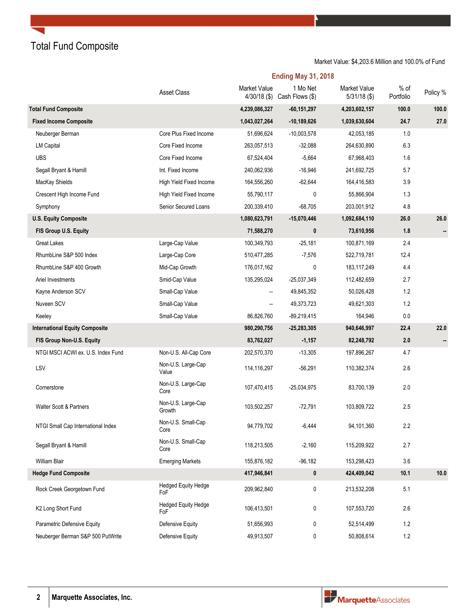Total Fund Composite

#### Market Value: \$4,203.6 Million and 100.0% of Fund

|                                       | <b>Asset Class</b>                | Market Value<br>$4/30/18$ (\$) | 1 Mo Net<br>Cash Flows (\$) | <b>Market Value</b><br>$5/31/18$ (\$) | $%$ of<br>Portfolio | Policy % |
|---------------------------------------|-----------------------------------|--------------------------------|-----------------------------|---------------------------------------|---------------------|----------|
| <b>Total Fund Composite</b>           |                                   | 4,239,086,327                  | $-60, 151, 297$             | 4,203,602,157                         | 100.0               | 100.0    |
| <b>Fixed Income Composite</b>         |                                   | 1,043,027,264                  | $-10,189,626$               | 1,039,630,604                         | 24.7                | 27.0     |
| Neuberger Berman                      | Core Plus Fixed Income            | 51,696,624                     | $-10,003,578$               | 42,053,185                            | 1.0                 |          |
| <b>LM Capital</b>                     | Core Fixed Income                 | 263,057,513                    | $-32,088$                   | 264,630,890                           | 6.3                 |          |
| <b>UBS</b>                            | Core Fixed Income                 | 67,524,404                     | $-5,664$                    | 67,968,403                            | 1.6                 |          |
| Segall Bryant & Hamill                | Int. Fixed Income                 | 240,062,936                    | $-16,946$                   | 241,692,725                           | 5.7                 |          |
| MacKay Shields                        | High Yield Fixed Income           | 164,556,260                    | $-62,644$                   | 164,416,583                           | 3.9                 |          |
| Crescent High Income Fund             | High Yield Fixed Income           | 55,790,117                     | 0                           | 55,866,904                            | 1.3                 |          |
| Symphony                              | Senior Secured Loans              | 200,339,410                    | $-68,705$                   | 203,001,912                           | 4.8                 |          |
| <b>U.S. Equity Composite</b>          |                                   | 1,080,623,791                  | $-15,070,446$               | 1,092,684,110                         | 26.0                | 26.0     |
| FIS Group U.S. Equity                 |                                   | 71,588,270                     | 0                           | 73,610,956                            | 1.8                 |          |
| <b>Great Lakes</b>                    | Large-Cap Value                   | 100,349,793                    | $-25,181$                   | 100,871,169                           | 2.4                 |          |
| RhumbLine S&P 500 Index               | Large-Cap Core                    | 510,477,285                    | $-7,576$                    | 522,719,781                           | 12.4                |          |
| RhumbLine S&P 400 Growth              | Mid-Cap Growth                    | 176,017,162                    | 0                           | 183,117,249                           | 4.4                 |          |
| Ariel Investments                     | Smid-Cap Value                    | 135,295,024                    | $-25,037,349$               | 112,482,659                           | 2.7                 |          |
| Kayne Anderson SCV                    | Small-Cap Value                   | $\overline{\phantom{a}}$       | 49,845,352                  | 50,026,428                            | 1.2                 |          |
| Nuveen SCV                            | Small-Cap Value                   | $\overline{\phantom{a}}$       | 49,373,723                  | 49,621,303                            | 1.2                 |          |
| Keeley                                | Small-Cap Value                   | 86,826,760                     | $-89,219,415$               | 164,946                               | 0.0                 |          |
| <b>International Equity Composite</b> |                                   | 980,290,756                    | $-25,283,305$               | 940,646,997                           | 22.4                | 22.0     |
| FIS Group Non-U.S. Equity             |                                   | 83,762,027                     | $-1,157$                    | 82,248,792                            | 2.0                 |          |
| NTGI MSCI ACWI ex. U.S. Index Fund    | Non-U.S. All-Cap Core             | 202,570,370                    | $-13,305$                   | 197,896,267                           | 4.7                 |          |
| LSV                                   | Non-U.S. Large-Cap<br>Value       | 114,116,297                    | $-56,291$                   | 110,382,374                           | 2.6                 |          |
| Cornerstone                           | Non-U.S. Large-Cap<br>Core        | 107,470,415                    | $-25,034,975$               | 83,700,139                            | 2.0                 |          |
| <b>Walter Scott &amp; Partners</b>    | Non-U.S. Large-Cap<br>Growth      | 103,502,257                    | $-72,791$                   | 103,809,722                           | 2.5                 |          |
| NTGI Small Cap International Index    | Non-U.S. Small-Cap<br>Core        | 94,779,702                     | $-6,444$                    | 94,101,360                            | 2.2                 |          |
| Segall Bryant & Hamill                | Non-U.S. Small-Cap<br>Core        | 118,213,505                    | $-2,160$                    | 115,209,922                           | 2.7                 |          |
| William Blair                         | <b>Emerging Markets</b>           | 155,876,182                    | $-96,182$                   | 153,298,423                           | 3.6                 |          |
| <b>Hedge Fund Composite</b>           |                                   | 417,946,841                    | 0                           | 424,409,042                           | 10.1                | 10.0     |
| Rock Creek Georgetown Fund            | <b>Hedged Equity Hedge</b><br>FoF | 209,962,840                    | 0                           | 213,532,208                           | 5.1                 |          |
| K2 Long Short Fund                    | <b>Hedged Equity Hedge</b><br>FoF | 106,413,501                    | 0                           | 107,553,720                           | 2.6                 |          |
| Parametric Defensive Equity           | Defensive Equity                  | 51,656,993                     | 0                           | 52,514,499                            | $1.2$               |          |
| Neuberger Berman S&P 500 PutWrite     | Defensive Equity                  | 49,913,507                     | 0                           | 50,808,614                            | $1.2\,$             |          |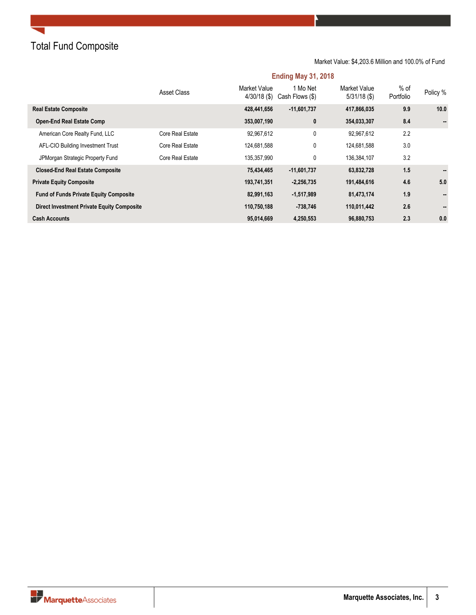# Total Fund Composite

#### Market Value: \$4,203.6 Million and 100.0% of Fund

|                                                   | Asset Class      | Market Value<br>$4/30/18$ (\$) | 1 Mo Net<br>Cash Flows (\$) | <b>Market Value</b><br>$5/31/18$ (\$) | $%$ of<br>Portfolio | Policy %       |
|---------------------------------------------------|------------------|--------------------------------|-----------------------------|---------------------------------------|---------------------|----------------|
| <b>Real Estate Composite</b>                      |                  | 428,441,656                    | $-11,601,737$               | 417,866,035                           | 9.9                 | 10.0           |
| <b>Open-End Real Estate Comp</b>                  |                  | 353,007,190                    | $\mathbf{0}$                | 354,033,307                           | 8.4                 |                |
| American Core Realty Fund, LLC                    | Core Real Estate | 92.967.612                     | 0                           | 92.967.612                            | 2.2                 |                |
| AFL-CIO Building Investment Trust                 | Core Real Estate | 124,681,588                    | 0                           | 124,681,588                           | 3.0                 |                |
| JPMorgan Strategic Property Fund                  | Core Real Estate | 135,357,990                    | 0                           | 136,384,107                           | 3.2                 |                |
| <b>Closed-End Real Estate Composite</b>           |                  | 75,434,465                     | $-11,601,737$               | 63,832,728                            | 1.5                 | $\sim$         |
| <b>Private Equity Composite</b>                   |                  | 193,741,351                    | $-2,256,735$                | 191,484,616                           | 4.6                 | 5.0            |
| <b>Fund of Funds Private Equity Composite</b>     |                  | 82,991,163                     | $-1,517,989$                | 81,473,174                            | 1.9                 | $\blacksquare$ |
| <b>Direct Investment Private Equity Composite</b> |                  | 110,750,188                    | -738,746                    | 110,011,442                           | 2.6                 | $\blacksquare$ |
| <b>Cash Accounts</b>                              |                  | 95,014,669                     | 4,250,553                   | 96,880,753                            | 2.3                 | 0.0            |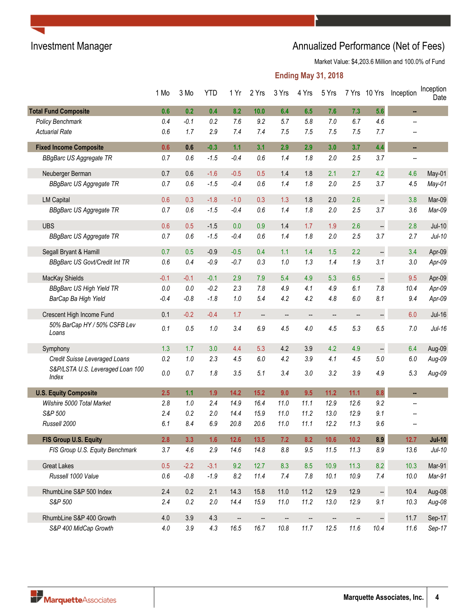# Investment Manager **Annualized Performance (Net of Fees)**

Market Value: \$4,203.6 Million and 100.0% of Fund

|                                           | 1 Mo    | 3 Mo    | <b>YTD</b> | 1 Yr                     | 2 Yrs                    | 3 Yrs                    | 4 Yrs | 5 Yrs |      | 7 Yrs 10 Yrs             | Inception                | Inception<br>Date |
|-------------------------------------------|---------|---------|------------|--------------------------|--------------------------|--------------------------|-------|-------|------|--------------------------|--------------------------|-------------------|
| <b>Total Fund Composite</b>               | 0.6     | 0.2     | 0.4        | 8.2                      | 10.0                     | 6.4                      | 6.5   | 7.6   | 7.3  | 5.6                      | ш,                       |                   |
| Policy Benchmark                          | 0.4     | $-0.1$  | 0.2        | 7.6                      | 9.2                      | 5.7                      | 5.8   | 7.0   | 6.7  | 4.6                      | --                       |                   |
| <b>Actuarial Rate</b>                     | 0.6     | 1.7     | 2.9        | 7.4                      | 7.4                      | 7.5                      | 7.5   | 7.5   | 7.5  | 7.7                      | $\overline{\phantom{a}}$ |                   |
| <b>Fixed Income Composite</b>             | 0.6     | 0.6     | $-0.3$     | 1.1                      | 3.1                      | 2.9                      | 2.9   | 3.0   | 3.7  | 4.4                      | н,                       |                   |
| <b>BBgBarc US Aggregate TR</b>            | 0.7     | 0.6     | $-1.5$     | $-0.4$                   | 0.6                      | 1.4                      | 1.8   | 2.0   | 2.5  | 3.7                      | $\overline{a}$           |                   |
| Neuberger Berman                          | 0.7     | 0.6     | $-1.6$     | $-0.5$                   | 0.5                      | 1.4                      | 1.8   | 2.1   | 2.7  | 4.2                      | 4.6                      | May-01            |
| <b>BBgBarc US Aggregate TR</b>            | 0.7     | 0.6     | $-1.5$     | $-0.4$                   | 0.6                      | 1.4                      | 1.8   | 2.0   | 2.5  | 3.7                      | 4.5                      | May-01            |
| <b>LM Capital</b>                         | 0.6     | 0.3     | $-1.8$     | $-1.0$                   | 0.3                      | 1.3                      | 1.8   | 2.0   | 2.6  | --                       | 3.8                      | Mar-09            |
| <b>BBgBarc US Aggregate TR</b>            | 0.7     | 0.6     | $-1.5$     | $-0.4$                   | 0.6                      | 1.4                      | 1.8   | 2.0   | 2.5  | 3.7                      | 3.6                      | Mar-09            |
| <b>UBS</b>                                | 0.6     | 0.5     | $-1.5$     | 0.0                      | 0.9                      | 1.4                      | 1.7   | 1.9   | 2.6  |                          | 2.8                      | $Jul-10$          |
| <b>BBgBarc US Aggregate TR</b>            | 0.7     | 0.6     | $-1.5$     | $-0.4$                   | 0.6                      | 1.4                      | 1.8   | 2.0   | 2.5  | 3.7                      | 2.7                      | $Jul-10$          |
| Segall Bryant & Hamill                    | 0.7     | 0.5     | $-0.9$     | $-0.5$                   | 0.4                      | 1.1                      | 1.4   | 1.5   | 2.2  |                          | 3.4                      | Apr-09            |
| <b>BBgBarc US Govt/Credit Int TR</b>      | 0.6     | 0.4     | $-0.9$     | $-0.7$                   | 0.3                      | 1.0                      | 1.3   | 1.4   | 1.9  | 3.1                      | $3.0\,$                  | Apr-09            |
| MacKay Shields                            | $-0.1$  | $-0.1$  | $-0.1$     | 2.9                      | 7.9                      | 5.4                      | 4.9   | 5.3   | 6.5  | $\overline{\phantom{a}}$ | 9.5                      | Apr-09            |
| <b>BBgBarc US High Yield TR</b>           | $0.0\,$ | 0.0     | $-0.2$     | 2.3                      | 7.8                      | 4.9                      | 4.1   | 4.9   | 6.1  | 7.8                      | 10.4                     | Apr-09            |
| BarCap Ba High Yield                      | $-0.4$  | $-0.8$  | $-1.8$     | 1.0                      | 5.4                      | 4.2                      | 4.2   | 4.8   | 6.0  | 8.1                      | 9.4                      | Apr-09            |
| Crescent High Income Fund                 | 0.1     | $-0.2$  | $-0.4$     | 1.7                      | $\qquad \qquad \qquad -$ | $\qquad \qquad \qquad -$ | --    | --    | --   | ÷                        | 6.0                      | <b>Jul-16</b>     |
| 50% BarCap HY / 50% CSFB Lev<br>Loans     | 0.1     | 0.5     | 1.0        | 3.4                      | 6.9                      | 4.5                      | 4.0   | 4.5   | 5.3  | 6.5                      | 7.0                      | $Jul-16$          |
| Symphony                                  | 1.3     | 1.7     | 3.0        | 4.4                      | 5.3                      | 4.2                      | 3.9   | 4.2   | 4.9  | --                       | 6.4                      | Aug-09            |
| Credit Suisse Leveraged Loans             | 0.2     | 1.0     | 2.3        | 4.5                      | 6.0                      | 4.2                      | 3.9   | 4.1   | 4.5  | 5.0                      | 6.0                      | $Aug-09$          |
| S&P/LSTA U.S. Leveraged Loan 100<br>Index | $0.0\,$ | 0.7     | 1.8        | 3.5                      | 5.1                      | 3.4                      | 3.0   | 3.2   | 3.9  | 4.9                      | 5.3                      | Aug-09            |
| <b>U.S. Equity Composite</b>              | 2.5     | 1.1     | 1.9        | 14.2                     | $15.2$                   | 9.0                      | 9.5   | 11.2  | 11.1 | 8.8                      | н.                       |                   |
| Wilshire 5000 Total Market                | 2.8     | 1.0     | 2.4        | 14.9                     | 16.4                     | 11.0                     | 11.1  | 12.9  | 12.6 | 9.2                      | --                       |                   |
| S&P 500                                   | 2.4     | 0.2     | 2.0        | 14.4                     | 15.9                     | 11.0                     | 11.2  | 13.0  | 12.9 | 9.1                      |                          |                   |
| Russell 2000                              | 6.1     | 8.4     | 6.9        | 20.8                     | 20.6                     | 11.0                     | 11.1  | 12.2  | 11.3 | 9.6                      |                          |                   |
| FIS Group U.S. Equity                     | 2.8     | 3.3     | 1.6        | $12.6$                   | $13.5$                   | 7.2                      | 8.2   | 10.6  | 10.2 | 8.9                      | 12.7                     | <b>Jul-10</b>     |
| FIS Group U.S. Equity Benchmark           | 3.7     | 4.6     | 2.9        | 14.6                     | 14.8                     | $8.8\,$                  | 9.5   | 11.5  | 11.3 | 8.9                      | 13.6                     | $Jul-10$          |
| <b>Great Lakes</b>                        | 0.5     | $-2.2$  | $-3.1$     | 9.2                      | 12.7                     | 8.3                      | 8.5   | 10.9  | 11.3 | 8.2                      | 10.3                     | Mar-91            |
| Russell 1000 Value                        | $0.6\,$ | $-0.8$  | $-1.9$     | 8.2                      | 11.4                     | 7.4                      | 7.8   | 10.1  | 10.9 | 7.4                      | 10.0                     | Mar-91            |
| RhumbLine S&P 500 Index                   | 2.4     | 0.2     | 2.1        | 14.3                     | 15.8                     | 11.0                     | 11.2  | 12.9  | 12.9 | $\frac{1}{2}$            | 10.4                     | Aug-08            |
| S&P 500                                   | 2.4     | 0.2     | 2.0        | 14.4                     | 15.9                     | 11.0                     | 11.2  | 13.0  | 12.9 | 9.1                      | 10.3                     | Aug-08            |
| RhumbLine S&P 400 Growth                  | 4.0     | 3.9     | 4.3        | $\overline{\phantom{a}}$ | $\qquad \qquad -$        | $\frac{1}{2}$            |       |       |      | 4                        | 11.7                     | Sep-17            |
| S&P 400 MidCap Growth                     | 4.0     | $3.9\,$ | 4.3        | 16.5                     | 16.7                     | 10.8                     | 11.7  | 12.5  | 11.6 | 10.4                     | 11.6                     | Sep-17            |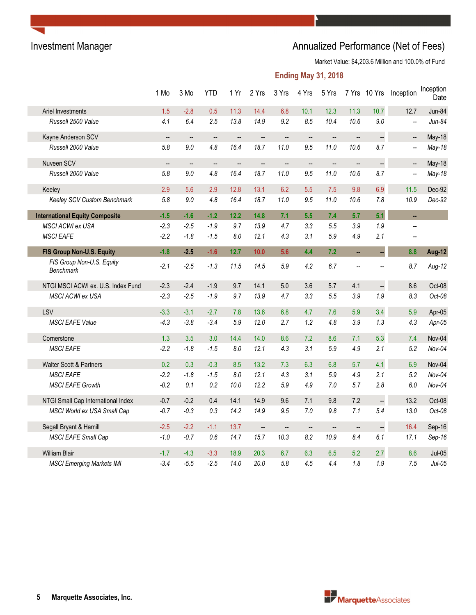# Investment Manager **Annualized Performance (Net of Fees)** Annualized Performance (Net of Fees)

Market Value: \$4,203.6 Million and 100.0% of Fund

|                                               | 1 Mo                     | 3 Mo                     | <b>YTD</b>        | 1 Yr                     | 2 Yrs                    | 3 Yrs  | 4 Yrs                    | 5 Yrs                    |                   | 7 Yrs 10 Yrs         | Inception                | Inception<br>Date |
|-----------------------------------------------|--------------------------|--------------------------|-------------------|--------------------------|--------------------------|--------|--------------------------|--------------------------|-------------------|----------------------|--------------------------|-------------------|
| Ariel Investments                             | 1.5                      | $-2.8$                   | 0.5               | 11.3                     | 14.4                     | 6.8    | 10.1                     | 12.3                     | 11.3              | 10.7                 | 12.7                     | Jun-84            |
| Russell 2500 Value                            | 4.1                      | 6.4                      | 2.5               | 13.8                     | 14.9                     | 9.2    | 8.5                      | 10.4                     | 10.6              | 9.0                  | $\overline{\phantom{a}}$ | $Jun-84$          |
| Kayne Anderson SCV                            | --                       | $\overline{\phantom{a}}$ | --                | --                       | --                       | --     | $\overline{\phantom{a}}$ | --                       | --                | $\ddot{\phantom{0}}$ | $\overline{\phantom{a}}$ | May-18            |
| Russell 2000 Value                            | 5.8                      | 9.0                      | 4.8               | 16.4                     | 18.7                     | 11.0   | 9.5                      | 11.0                     | 10.6              | 8.7                  | $\overline{\phantom{a}}$ | $May-18$          |
| Nuveen SCV                                    | $\overline{\phantom{a}}$ | --                       | $\qquad \qquad -$ | $\overline{\phantom{a}}$ | $\qquad \qquad -$        | --     | $\overline{\phantom{a}}$ | $\overline{\phantom{a}}$ | --                | $\ddot{\phantom{0}}$ | $\overline{\phantom{a}}$ | May-18            |
| Russell 2000 Value                            | 5.8                      | 9.0                      | 4.8               | 16.4                     | 18.7                     | 11.0   | 9.5                      | 11.0                     | 10.6              | 8.7                  | $\overline{\phantom{a}}$ | $May-18$          |
| Keeley                                        | 2.9                      | 5.6                      | 2.9               | 12.8                     | 13.1                     | 6.2    | 5.5                      | 7.5                      | 9.8               | 6.9                  | 11.5                     | Dec-92            |
| Keeley SCV Custom Benchmark                   | 5.8                      | 9.0                      | 4.8               | 16.4                     | 18.7                     | 11.0   | 9.5                      | 11.0                     | 10.6              | 7.8                  | 10.9                     | Dec-92            |
| <b>International Equity Composite</b>         | $-1.5$                   | $-1.6$                   | $-1.2$            | 12.2                     | 14.8                     | 7.1    | 5.5                      | 7.4                      | 5.7               | 5.1                  | a.                       |                   |
| MSCI ACWI ex USA                              | $-2.3$                   | $-2.5$                   | $-1.9$            | 9.7                      | 13.9                     | 4.7    | 3.3                      | 5.5                      | 3.9               | 1.9                  | Щ.                       |                   |
| <b>MSCI EAFE</b>                              | $-2.2$                   | $-1.8$                   | $-1.5$            | 8.0                      | 12.1                     | 4.3    | 3.1                      | 5.9                      | 4.9               | 2.1                  | $\overline{\phantom{a}}$ |                   |
| FIS Group Non-U.S. Equity                     | $-1.8$                   | $-2.5$                   | $-1.6$            | 12.7                     | 10.0                     | 5.6    | 4.4                      | 7.2                      | u,                |                      | 8.8                      | Aug-12            |
| FIS Group Non-U.S. Equity<br><b>Benchmark</b> | $-2.1$                   | $-2.5$                   | $-1.3$            | 11.5                     | 14.5                     | 5.9    | 4.2                      | 6.7                      | --                |                      | 8.7                      | Aug-12            |
| NTGI MSCI ACWI ex. U.S. Index Fund            | $-2.3$                   | $-2.4$                   | $-1.9$            | 9.7                      | 14.1                     | 5.0    | 3.6                      | 5.7                      | 4.1               | $\ddot{\phantom{0}}$ | 8.6                      | Oct-08            |
| MSCI ACWI ex USA                              | $-2.3$                   | $-2.5$                   | $-1.9$            | 9.7                      | 13.9                     | 4.7    | 3.3                      | 5.5                      | 3.9               | 1.9                  | 8.3                      | Oct-08            |
| LSV                                           | $-3.3$                   | $-3.1$                   | $-2.7$            | 7.8                      | 13.6                     | 6.8    | 4.7                      | 7.6                      | 5.9               | 3.4                  | 5.9                      | Apr-05            |
| <b>MSCI EAFE Value</b>                        | $-4.3$                   | $-3.8$                   | $-3.4$            | 5.9                      | 12.0                     | 2.7    | 1.2                      | 4.8                      | 3.9               | 1.3                  | 4.3                      | Apr-05            |
| Cornerstone                                   | 1.3                      | 3.5                      | 3.0               | 14.4                     | 14.0                     | 8.6    | 7.2                      | 8.6                      | 7.1               | 5.3                  | 7.4                      | Nov-04            |
| <b>MSCI EAFE</b>                              | $-2.2$                   | $-1.8$                   | $-1.5$            | 8.0                      | 12.1                     | 4.3    | 3.1                      | 5.9                      | 4.9               | 2.1                  | 5.2                      | Nov-04            |
| Walter Scott & Partners                       | 0.2                      | 0.3                      | $-0.3$            | 8.5                      | 13.2                     | 7.3    | 6.3                      | 6.8                      | 5.7               | 4.1                  | 6.9                      | Nov-04            |
| <b>MSCI EAFE</b>                              | $-2.2$                   | $-1.8$                   | $-1.5$            | 8.0                      | 12.1                     | 4.3    | 3.1                      | 5.9                      | 4.9               | 2.1                  | 5.2                      | $Nov-04$          |
| <b>MSCI EAFE Growth</b>                       | $-0.2$                   | 0.1                      | 0.2               | 10.0                     | 12.2                     | 5.9    | 4.9                      | 7.0                      | 5.7               | 2.8                  | 6.0                      | $Nov-04$          |
| NTGI Small Cap International Index            | $-0.7$                   | $-0.2$                   | 0.4               | 14.1                     | 14.9                     | 9.6    | 7.1                      | 9.8                      | 7.2               | $\ddot{\phantom{0}}$ | 13.2                     | Oct-08            |
| MSCI World ex USA Small Cap                   | $-0.7$                   | $-0.3$                   | 0.3               | 14.2                     | 14.9                     | 9.5    | 7.0                      | 9.8                      | 7.1               | 5.4                  | 13.0                     | Oct-08            |
| Segall Bryant & Hamill                        | $-2.5$                   | $-2.2$                   | $-1.1$            | 13.7                     | $\overline{\phantom{m}}$ | $\sim$ | $\sim$                   | $\overline{\phantom{a}}$ | $\qquad \qquad -$ | $\ddot{\phantom{0}}$ | 16.4                     | Sep-16            |
| MSCI EAFE Small Cap                           | $-1.0$                   | $-0.7$                   | 0.6               | 14.7                     | 15.7                     | 10.3   | 8.2                      | 10.9                     | 8.4               | 6.1                  | 17.1                     | Sep-16            |
| <b>William Blair</b>                          | $-1.7$                   | $-4.3$                   | $-3.3$            | 18.9                     | 20.3                     | 6.7    | 6.3                      | 6.5                      | 5.2               | 2.7                  | 8.6                      | $Jul-05$          |
| <b>MSCI Emerging Markets IMI</b>              | $-3.4$                   | $-5.5$                   | $-2.5$            | 14.0                     | 20.0                     | 5.8    | 4.5                      | 4.4                      | 1.8               | 1.9                  | 7.5                      | $Jul-05$          |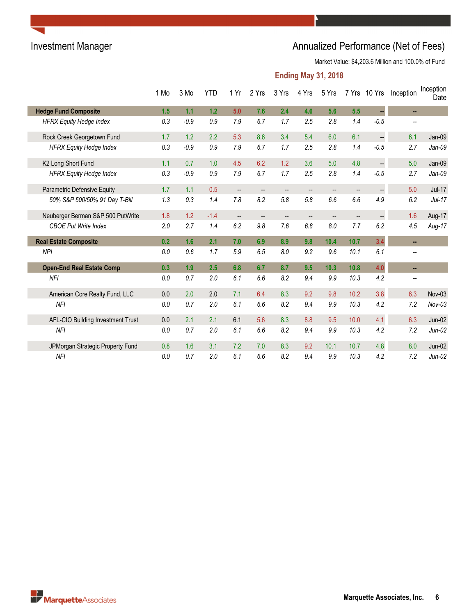# Investment Manager **Annualized Performance (Net of Fees)**

Market Value: \$4,203.6 Million and 100.0% of Fund

|                                   | 1 Mo | 3 Mo   | <b>YTD</b> | 1 Yr                     | 2 Yrs                    | 3 Yrs                    | 4 Yrs                    | 5 Yrs                    |                          | 7 Yrs 10 Yrs         | Inception                | Inception<br>Date |
|-----------------------------------|------|--------|------------|--------------------------|--------------------------|--------------------------|--------------------------|--------------------------|--------------------------|----------------------|--------------------------|-------------------|
| <b>Hedge Fund Composite</b>       | 1.5  | 1.1    | 1.2        | 5.0                      | 7.6                      | 2.4                      | 4.6                      | 5.6                      | 5.5                      | н.                   | $\sim$                   |                   |
| <b>HFRX Equity Hedge Index</b>    | 0.3  | $-0.9$ | 0.9        | 7.9                      | 6.7                      | 1.7                      | 2.5                      | 2.8                      | 1.4                      | $-0.5$               | $\overline{\phantom{a}}$ |                   |
| Rock Creek Georgetown Fund        | 1.7  | 1.2    | 2.2        | 5.3                      | 8.6                      | 3.4                      | 5.4                      | 6.0                      | 6.1                      | $\ddot{\phantom{1}}$ | 6.1                      | Jan-09            |
| <b>HFRX Equity Hedge Index</b>    | 0.3  | $-0.9$ | 0.9        | 7.9                      | 6.7                      | 1.7                      | 2.5                      | 2.8                      | 1.4                      | $-0.5$               | 2.7                      | $Jan-09$          |
| K2 Long Short Fund                | 1.1  | 0.7    | 1.0        | 4.5                      | 6.2                      | 1.2                      | 3.6                      | 5.0                      | 4.8                      | $\ddot{\phantom{1}}$ | 5.0                      | Jan-09            |
| <b>HFRX Equity Hedge Index</b>    | 0.3  | $-0.9$ | 0.9        | 7.9                      | 6.7                      | 1.7                      | 2.5                      | 2.8                      | 1.4                      | $-0.5$               | 2.7                      | $Jan-09$          |
| Parametric Defensive Equity       | 1.7  | 1.1    | 0.5        | $\overline{\phantom{a}}$ | $\overline{\phantom{a}}$ | $\overline{\phantom{a}}$ | $\overline{\phantom{a}}$ | $\overline{\phantom{a}}$ | $\overline{\phantom{a}}$ | --                   | 5.0                      | $Jul-17$          |
| 50% S&P 500/50% 91 Day T-Bill     | 1.3  | 0.3    | 1.4        | 7.8                      | 8.2                      | 5.8                      | 5.8                      | 6.6                      | 6.6                      | 4.9                  | 6.2                      | $Jul-17$          |
| Neuberger Berman S&P 500 PutWrite | 1.8  | 1.2    | $-1.4$     | --                       | $\overline{\phantom{a}}$ | $\overline{\phantom{a}}$ | $\overline{\phantom{a}}$ | --                       | $\overline{\phantom{a}}$ | --                   | 1.6                      | Aug-17            |
| <b>CBOE Put Write Index</b>       | 2.0  | 2.7    | 1.4        | 6.2                      | 9.8                      | 7.6                      | 6.8                      | 8.0                      | 7.7                      | 6.2                  | 4.5                      | $Aug-17$          |
| <b>Real Estate Composite</b>      | 0.2  | 1.6    | 2.1        | 7.0                      | 6.9                      | 8.9                      | 9.8                      | 10.4                     | 10.7                     | 3.4                  | ш.                       |                   |
| <b>NPI</b>                        | 0.0  | 0.6    | 1.7        | 5.9                      | 6.5                      | 8.0                      | 9.2                      | 9.6                      | 10.1                     | 6.1                  | $\overline{\phantom{a}}$ |                   |
| <b>Open-End Real Estate Comp</b>  | 0.3  | 1.9    | 2.5        | 6.8                      | 6.7                      | 8.7                      | 9.5                      | 10.3                     | 10.8                     | 4.0                  | ш.                       |                   |
| <b>NFI</b>                        | 0.0  | 0.7    | 2.0        | 6.1                      | 6.6                      | 8.2                      | 9.4                      | 9.9                      | 10.3                     | 4.2                  | $\overline{\phantom{a}}$ |                   |
| American Core Realty Fund, LLC    | 0.0  | 2.0    | 2.0        | 7.1                      | 6.4                      | 8.3                      | 9.2                      | 9.8                      | 10.2                     | 3.8                  | 6.3                      | Nov-03            |
| <b>NFI</b>                        | 0.0  | 0.7    | 2.0        | 6.1                      | 6.6                      | 8.2                      | 9.4                      | 9.9                      | 10.3                     | 4.2                  | 7.2                      | $Nov-03$          |
| AFL-CIO Building Investment Trust | 0.0  | 2.1    | 2.1        | 6.1                      | 5.6                      | 8.3                      | 8.8                      | 9.5                      | 10.0                     | 4.1                  | 6.3                      | Jun-02            |
| <b>NFI</b>                        | 0.0  | 0.7    | 2.0        | 6.1                      | 6.6                      | 8.2                      | 9.4                      | 9.9                      | 10.3                     | 4.2                  | 7.2                      | $Jun-02$          |
| JPMorgan Strategic Property Fund  | 0.8  | 1.6    | 3.1        | 7.2                      | 7.0                      | 8.3                      | 9.2                      | 10.1                     | 10.7                     | 4.8                  | 8.0                      | $Jun-02$          |
| <b>NFI</b>                        | 0.0  | 0.7    | 2.0        | 6.1                      | 6.6                      | 8.2                      | 9.4                      | 9.9                      | 10.3                     | 4.2                  | 7.2                      | $Jun-02$          |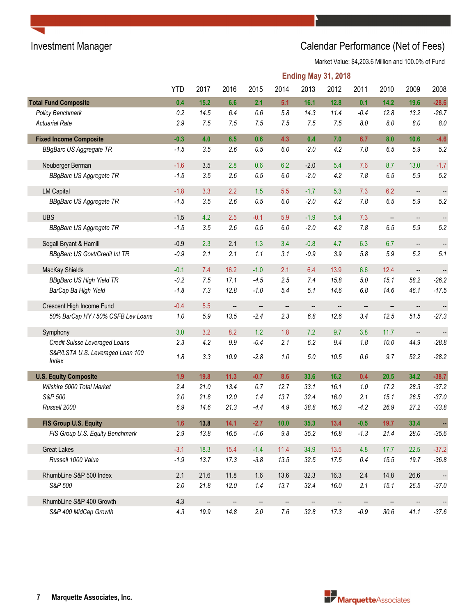# Investment Manager **Investment Manager** Calendar Performance (Net of Fees)

Market Value: \$4,203.6 Million and 100.0% of Fund

|                                           | <b>Ending May 31, 2018</b> |         |      |                   |         |                          |                          |         |                          |                          |                          |
|-------------------------------------------|----------------------------|---------|------|-------------------|---------|--------------------------|--------------------------|---------|--------------------------|--------------------------|--------------------------|
|                                           | <b>YTD</b>                 | 2017    | 2016 | 2015              | 2014    | 2013                     | 2012                     | 2011    | 2010                     | 2009                     | 2008                     |
| <b>Total Fund Composite</b>               | 0.4                        | 15.2    | 6.6  | 2.1               | 5.1     | 16.1                     | 12.8                     | 0.1     | 14.2                     | 19.6                     | $-28.6$                  |
| Policy Benchmark                          | 0.2                        | 14.5    | 6.4  | 0.6               | 5.8     | 14.3                     | 11.4                     | $-0.4$  | 12.8                     | 13.2                     | $-26.7$                  |
| <b>Actuarial Rate</b>                     | 2.9                        | 7.5     | 7.5  | 7.5               | 7.5     | 7.5                      | 7.5                      | $8.0\,$ | $\pmb{8.0}$              | 8.0                      | $8.0\,$                  |
| <b>Fixed Income Composite</b>             | $-0.3$                     | 4.0     | 6.5  | 0.6               | 4.3     | 0.4                      | 7.0                      | 6.7     | 8.0                      | 10.6                     | $-4.6$                   |
| <b>BBgBarc US Aggregate TR</b>            | $-1.5$                     | 3.5     | 2.6  | $0.5\,$           | $6.0\,$ | $-2.0$                   | 4.2                      | 7.8     | $6.5\,$                  | 5.9                      | 5.2                      |
| Neuberger Berman                          | $-1.6$                     | 3.5     | 2.8  | 0.6               | 6.2     | $-2.0$                   | 5.4                      | 7.6     | 8.7                      | 13.0                     | $-1.7$                   |
| <b>BBgBarc US Aggregate TR</b>            | $-1.5$                     | 3.5     | 2.6  | 0.5               | $6.0\,$ | $-2.0$                   | 4.2                      | 7.8     | 6.5                      | 5.9                      | 5.2                      |
| <b>LM Capital</b>                         | $-1.8$                     | 3.3     | 2.2  | 1.5               | 5.5     | $-1.7$                   | 5.3                      | 7.3     | 6.2                      | $\overline{\phantom{a}}$ | $\overline{\phantom{a}}$ |
| <b>BBgBarc US Aggregate TR</b>            | $-1.5$                     | 3.5     | 2.6  | 0.5               | $6.0\,$ | $-2.0$                   | 4.2                      | 7.8     | 6.5                      | 5.9                      | 5.2                      |
| <b>UBS</b>                                | $-1.5$                     | 4.2     | 2.5  | $-0.1$            | 5.9     | $-1.9$                   | 5.4                      | 7.3     | $\overline{\phantom{a}}$ | $\qquad \qquad -$        | $\overline{\phantom{a}}$ |
| <b>BBgBarc US Aggregate TR</b>            | $-1.5$                     | 3.5     | 2.6  | $0.5\,$           | $6.0\,$ | $-2.0$                   | 4.2                      | $7.8$   | $6.5\,$                  | 5.9                      | 5.2                      |
| Segall Bryant & Hamill                    | $-0.9$                     | 2.3     | 2.1  | 1.3               | 3.4     | $-0.8$                   | 4.7                      | 6.3     | 6.7                      | $\overline{\phantom{a}}$ | $\overline{\phantom{a}}$ |
| <b>BBgBarc US Govt/Credit Int TR</b>      | $-0.9$                     | 2.1     | 2.1  | 1.1               | 3.1     | $-0.9$                   | 3.9                      | 5.8     | 5.9                      | 5.2                      | 5.1                      |
| MacKay Shields                            | $-0.1$                     | 7.4     | 16.2 | $-1.0$            | 2.1     | 6.4                      | 13.9                     | 6.6     | 12.4                     | $\overline{\phantom{a}}$ |                          |
| <b>BBgBarc US High Yield TR</b>           | $-0.2$                     | 7.5     | 17.1 | $-4.5$            | 2.5     | 7.4                      | 15.8                     | $5.0\,$ | 15.1                     | 58.2                     | $-26.2$                  |
| BarCap Ba High Yield                      | $-1.8$                     | 7.3     | 12.8 | $-1.0$            | 5.4     | 5.1                      | 14.6                     | 6.8     | 14.6                     | 46.1                     | $-17.5$                  |
| Crescent High Income Fund                 | $-0.4$                     | 5.5     | --   | --                | --      | $\overline{\phantom{a}}$ | --                       | --      |                          | $\overline{\phantom{a}}$ |                          |
| 50% BarCap HY / 50% CSFB Lev Loans        | $1.0\,$                    | $5.9\,$ | 13.5 | $-2.4$            | 2.3     | $6.8\,$                  | 12.6                     | 3.4     | 12.5                     | 51.5                     | $-27.3$                  |
| Symphony                                  | 3.0                        | 3.2     | 8.2  | 1.2               | 1.8     | 7.2                      | 9.7                      | 3.8     | 11.7                     | $\overline{\phantom{a}}$ |                          |
| Credit Suisse Leveraged Loans             | 2.3                        | 4.2     | 9.9  | $-0.4$            | 2.1     | 6.2                      | 9.4                      | 1.8     | 10.0                     | 44.9                     | $-28.8$                  |
| S&P/LSTA U.S. Leveraged Loan 100<br>Index | 1.8                        | 3.3     | 10.9 | $-2.8$            | 1.0     | $5.0\,$                  | 10.5                     | 0.6     | 9.7                      | 52.2                     | $-28.2$                  |
| <b>U.S. Equity Composite</b>              | 1.9                        | 19.8    | 11.3 | $-0.7$            | 8.6     | 33.6                     | 16.2                     | 0.4     | 20.5                     | 34.2                     | $-38.7$                  |
| Wilshire 5000 Total Market                | 2.4                        | 21.0    | 13.4 | 0.7               | 12.7    | 33.1                     | 16.1                     | $1.0$   | 17.2                     | 28.3                     | $-37.2$                  |
| S&P 500                                   | 2.0                        | 21.8    | 12.0 | 1.4               | 13.7    | 32.4                     | 16.0                     | 2.1     | 15.1                     | 26.5                     | $-37.0$                  |
| Russell 2000                              | 6.9                        | 14.6    | 21.3 | $-4.4$            | 4.9     | 38.8                     | 16.3                     | $-4.2$  | 26.9                     | 27.2                     | $-33.8$                  |
| FIS Group U.S. Equity                     | 1.6                        | 13.8    | 14.1 | $-2.7$            | 10.0    | 35.3                     | 13.4                     | $-0.5$  | 19.7                     | 33.4                     | ÷                        |
| FIS Group U.S. Equity Benchmark           | 2.9                        | 13.8    | 16.5 | $-1.6$            | $9.8\,$ | 35.2                     | 16.8                     | $-1.3$  | 21.4                     | 28.0                     | $-35.6$                  |
| <b>Great Lakes</b>                        | $-3.1$                     | 18.3    | 15.4 | $-1.4$            | 11.4    | 34.9                     | 13.5                     | 4.8     | 17.7                     | 22.5                     | $-37.2$                  |
| Russell 1000 Value                        | $-1.9$                     | 13.7    | 17.3 | $-3.8$            | 13.5    | 32.5                     | 17.5                     | $0.4\,$ | 15.5                     | 19.7                     | $-36.8$                  |
| RhumbLine S&P 500 Index                   | 2.1                        | 21.6    | 11.8 | 1.6               | 13.6    | 32.3                     | 16.3                     | 2.4     | 14.8                     | 26.6                     | --                       |
| S&P 500                                   | 2.0                        | 21.8    | 12.0 | 1.4               | 13.7    | 32.4                     | 16.0                     | 2.1     | 15.1                     | 26.5                     | $-37.0$                  |
| RhumbLine S&P 400 Growth                  | 4.3                        | --      |      | $\qquad \qquad -$ | --      |                          | $\overline{\phantom{a}}$ | --      |                          | $\qquad \qquad -$        | $\frac{1}{2}$            |
| S&P 400 MidCap Growth                     | 4.3                        | 19.9    | 14.8 | $2.0\,$           | $7.6\,$ | 32.8                     | 17.3                     | $-0.9$  | $30.6\,$                 | 41.1                     | $-37.6$                  |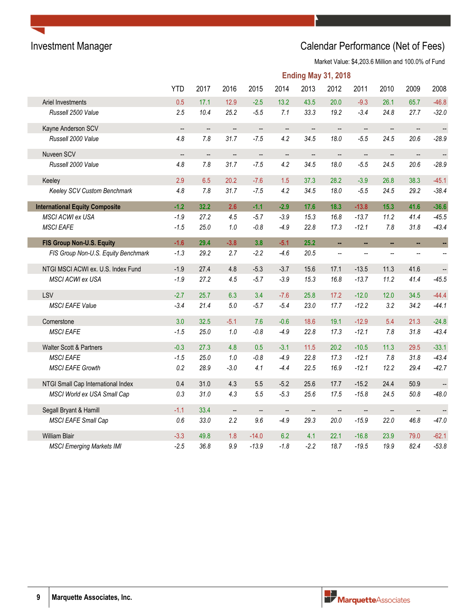# Investment Manager **Investment Manager** Calendar Performance (Net of Fees)

Market Value: \$4,203.6 Million and 100.0% of Fund

|                                       |                          |                          |                          |                          |                          | <b>Ending May 31, 2018</b> |                          |                          |                          |                          |                          |
|---------------------------------------|--------------------------|--------------------------|--------------------------|--------------------------|--------------------------|----------------------------|--------------------------|--------------------------|--------------------------|--------------------------|--------------------------|
|                                       | <b>YTD</b>               | 2017                     | 2016                     | 2015                     | 2014                     | 2013                       | 2012                     | 2011                     | 2010                     | 2009                     | 2008                     |
| Ariel Investments                     | 0.5                      | 17.1                     | 12.9                     | $-2.5$                   | 13.2                     | 43.5                       | 20.0                     | $-9.3$                   | 26.1                     | 65.7                     | $-46.8$                  |
| Russell 2500 Value                    | 2.5                      | 10.4                     | 25.2                     | $-5.5$                   | 7.1                      | 33.3                       | 19.2                     | $-3.4$                   | 24.8                     | 27.7                     | $-32.0$                  |
| Kayne Anderson SCV                    | $\overline{\phantom{a}}$ | $\overline{\phantom{a}}$ | --                       | $\overline{\phantom{a}}$ | $\overline{\phantom{a}}$ | --                         | $\overline{\phantom{a}}$ | $\overline{\phantom{a}}$ | $\overline{\phantom{a}}$ | $\overline{\phantom{a}}$ | $\ddot{\phantom{1}}$     |
| Russell 2000 Value                    | 4.8                      | 7.8                      | 31.7                     | $-7.5$                   | 4.2                      | 34.5                       | 18.0                     | $-5.5$                   | 24.5                     | 20.6                     | $-28.9$                  |
| Nuveen SCV                            | $\overline{\phantom{a}}$ | $\overline{\phantom{a}}$ | --                       | $\overline{\phantom{a}}$ | $\qquad \qquad \qquad -$ | --                         | $\overline{\phantom{a}}$ | --                       | --                       | $\overline{\phantom{a}}$ | $\qquad \qquad -$        |
| Russell 2000 Value                    | 4.8                      | 7.8                      | 31.7                     | $-7.5$                   | 4.2                      | 34.5                       | 18.0                     | $-5.5$                   | 24.5                     | 20.6                     | $-28.9$                  |
| Keeley                                | 2.9                      | 6.5                      | 20.2                     | $-7.6$                   | 1.5                      | 37.3                       | 28.2                     | $-3.9$                   | 26.8                     | 38.3                     | $-45.1$                  |
| Keeley SCV Custom Benchmark           | 4.8                      | 7.8                      | 31.7                     | $-7.5$                   | 4.2                      | 34.5                       | 18.0                     | $-5.5$                   | 24.5                     | 29.2                     | $-38.4$                  |
| <b>International Equity Composite</b> | $-1.2$                   | 32.2                     | 2.6                      | $-1.1$                   | $-2.9$                   | 17.6                       | 18.3                     | $-13.8$                  | 15.3                     | 41.6                     | $-36.6$                  |
| MSCI ACWI ex USA                      | $-1.9$                   | 27.2                     | 4.5                      | $-5.7$                   | $-3.9$                   | 15.3                       | 16.8                     | $-13.7$                  | 11.2                     | 41.4                     | $-45.5$                  |
| <b>MSCI EAFE</b>                      | $-1.5$                   | 25.0                     | $1.0\,$                  | $-0.8$                   | $-4.9$                   | 22.8                       | 17.3                     | $-12.1$                  | 7.8                      | 31.8                     | $-43.4$                  |
| FIS Group Non-U.S. Equity             | $-1.6$                   | 29.4                     | $-3.8$                   | 3.8                      | $-5.1$                   | 25.2                       | ä,                       | ä,                       | ä,                       | u,                       | ÷,                       |
| FIS Group Non-U.S. Equity Benchmark   | $-1.3$                   | 29.2                     | 2.7                      | $-2.2$                   | $-4.6$                   | 20.5                       | Ξ.                       | --                       | $\overline{\phantom{a}}$ | --                       | $\overline{\phantom{a}}$ |
| NTGI MSCI ACWI ex. U.S. Index Fund    | $-1.9$                   | 27.4                     | 4.8                      | $-5.3$                   | $-3.7$                   | 15.6                       | 17.1                     | $-13.5$                  | 11.3                     | 41.6                     | $\ddot{\phantom{1}}$     |
| <b>MSCI ACWI ex USA</b>               | $-1.9$                   | 27.2                     | 4.5                      | $-5.7$                   | $-3.9$                   | 15.3                       | 16.8                     | $-13.7$                  | 11.2                     | 41.4                     | $-45.5$                  |
| LSV                                   | $-2.7$                   | 25.7                     | 6.3                      | 3.4                      | $-7.6$                   | 25.8                       | 17.2                     | $-12.0$                  | 12.0                     | 34.5                     | $-44.4$                  |
| <b>MSCI EAFE Value</b>                | $-3.4$                   | 21.4                     | $5.0\,$                  | $-5.7$                   | $-5.4$                   | 23.0                       | 17.7                     | $-12.2$                  | 3.2                      | 34.2                     | $-44.1$                  |
| Cornerstone                           | 3.0                      | 32.5                     | $-5.1$                   | 7.6                      | $-0.6$                   | 18.6                       | 19.1                     | $-12.9$                  | 5.4                      | 21.3                     | $-24.8$                  |
| <b>MSCI EAFE</b>                      | $-1.5$                   | 25.0                     | $1.0\,$                  | $-0.8\,$                 | $-4.9$                   | 22.8                       | 17.3                     | $-12.1$                  | 7.8                      | 31.8                     | $-43.4$                  |
| Walter Scott & Partners               | $-0.3$                   | 27.3                     | 4.8                      | 0.5                      | $-3.1$                   | 11.5                       | 20.2                     | $-10.5$                  | 11.3                     | 29.5                     | $-33.1$                  |
| <b>MSCI EAFE</b>                      | $-1.5$                   | 25.0                     | $1.0\,$                  | $-0.8$                   | $-4.9$                   | 22.8                       | 17.3                     | $-12.1$                  | 7.8                      | 31.8                     | $-43.4$                  |
| <b>MSCI EAFE Growth</b>               | 0.2                      | 28.9                     | $-3.0$                   | 4.1                      | $-4.4$                   | 22.5                       | 16.9                     | $-12.1$                  | 12.2                     | 29.4                     | $-42.7$                  |
| NTGI Small Cap International Index    | 0.4                      | 31.0                     | 4.3                      | 5.5                      | $-5.2$                   | 25.6                       | 17.7                     | $-15.2$                  | 24.4                     | 50.9                     | $\qquad \qquad -$        |
| MSCI World ex USA Small Cap           | 0.3                      | 31.0                     | 4.3                      | 5.5                      | $-5.3$                   | 25.6                       | 17.5                     | $-15.8$                  | 24.5                     | 50.8                     | $-48.0$                  |
| Segall Bryant & Hamill                | $-1.1$                   | 33.4                     | $\overline{\phantom{a}}$ | $\overline{\phantom{a}}$ | $\overline{\phantom{m}}$ | $\overline{\phantom{a}}$   | $\overline{\phantom{a}}$ | $\overline{\phantom{a}}$ | $\overline{\phantom{a}}$ | $\overline{\phantom{a}}$ | $\overline{\phantom{a}}$ |
| MSCI EAFE Small Cap                   | 0.6                      | 33.0                     | 2.2                      | 9.6                      | $-4.9$                   | 29.3                       | 20.0                     | $-15.9$                  | 22.0                     | 46.8                     | $-47.0$                  |
| <b>William Blair</b>                  | $-3.3$                   | 49.8                     | 1.8                      | $-14.0$                  | 6.2                      | 4.1                        | 22.1                     | $-16.8$                  | 23.9                     | 79.0                     | $-62.1$                  |
| <b>MSCI Emerging Markets IMI</b>      | $-2.5$                   | 36.8                     | 9.9                      | $-13.9$                  | $-1.8$                   | $-2.2$                     | 18.7                     | $-19.5$                  | 19.9                     | 82.4                     | $-53.8$                  |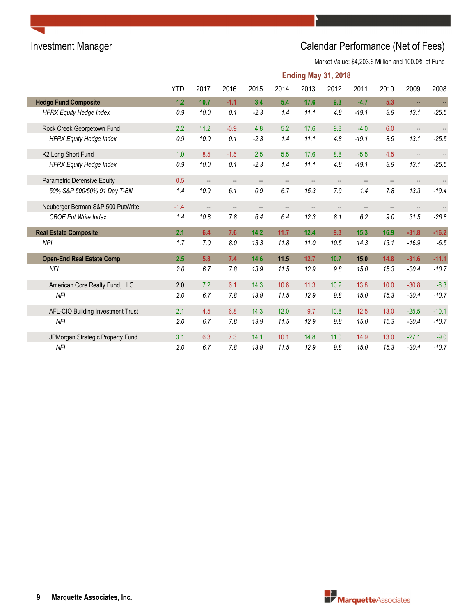# Investment Manager **Investment Manager** Calendar Performance (Net of Fees)

Market Value: \$4,203.6 Million and 100.0% of Fund

|                                   | <b>Ending May 31, 2018</b> |                   |                          |        |      |                          |                          |                        |                          |                          |                          |  |
|-----------------------------------|----------------------------|-------------------|--------------------------|--------|------|--------------------------|--------------------------|------------------------|--------------------------|--------------------------|--------------------------|--|
|                                   | <b>YTD</b>                 | 2017              | 2016                     | 2015   | 2014 | 2013                     | 2012                     | 2011                   | 2010                     | 2009                     | 2008                     |  |
| <b>Hedge Fund Composite</b>       | 1.2                        | 10.7              | $-1.1$                   | 3.4    | 5.4  | 17.6                     | 9.3                      | $-4.7$                 | 5.3                      | ÷.                       | ÷                        |  |
| <b>HFRX Equity Hedge Index</b>    | 0.9                        | 10.0              | 0.1                      | $-2.3$ | 1.4  | 11.1                     | 4.8                      | $-19.1$                | 8.9                      | 13.1                     | $-25.5$                  |  |
| Rock Creek Georgetown Fund        | 2.2                        | 11.2              | $-0.9$                   | 4.8    | 5.2  | 17.6                     | 9.8                      | $-4.0$                 | 6.0                      | $\overline{\phantom{a}}$ | $\overline{\phantom{a}}$ |  |
| <b>HFRX Equity Hedge Index</b>    | 0.9                        | 10.0              | 0.1                      | $-2.3$ | 1.4  | 11.1                     | 4.8                      | $-19.1$                | 8.9                      | 13.1                     | $-25.5$                  |  |
| K2 Long Short Fund                | 1.0                        | 8.5               | $-1.5$                   | 2.5    | 5.5  | 17.6                     | 8.8                      | $-5.5$                 | 4.5                      | $\overline{\phantom{a}}$ | $\qquad \qquad -$        |  |
| <b>HFRX Equity Hedge Index</b>    | 0.9                        | 10.0              | 0.1                      | $-2.3$ | 1.4  | 11.1                     | 4.8                      | $-19.1$                | 8.9                      | 13.1                     | $-25.5$                  |  |
| Parametric Defensive Equity       | 0.5                        | $\qquad \qquad -$ | $\overline{\phantom{a}}$ | --     | --   | $\overline{\phantom{a}}$ | $\overline{\phantom{a}}$ | $\qquad \qquad \cdots$ | $\overline{\phantom{a}}$ | $\overline{\phantom{a}}$ |                          |  |
| 50% S&P 500/50% 91 Day T-Bill     | 1.4                        | 10.9              | 6.1                      | 0.9    | 6.7  | 15.3                     | 7.9                      | 1.4                    | 7.8                      | 13.3                     | $-19.4$                  |  |
| Neuberger Berman S&P 500 PutWrite | $-1.4$                     | --                | $\overline{\phantom{a}}$ | --     | --   |                          | $\qquad \qquad \qquad -$ | --                     |                          |                          |                          |  |
| <b>CBOE Put Write Index</b>       | 1.4                        | 10.8              | 7.8                      | 6.4    | 6.4  | 12.3                     | 8.1                      | 6.2                    | 9.0                      | 31.5                     | $-26.8$                  |  |
| <b>Real Estate Composite</b>      | 2.1                        | 6.4               | 7.6                      | 14.2   | 11.7 | 12.4                     | 9.3                      | 15.3                   | 16.9                     | $-31.8$                  | $-16.2$                  |  |
| <b>NPI</b>                        | 1.7                        | 7.0               | 8.0                      | 13.3   | 11.8 | 11.0                     | 10.5                     | 14.3                   | 13.1                     | $-16.9$                  | $-6.5$                   |  |
| <b>Open-End Real Estate Comp</b>  | 2.5                        | 5.8               | 7.4                      | 14.6   | 11.5 | 12.7                     | 10.7                     | $15.0$                 | 14.8                     | $-31.6$                  | $-11.1$                  |  |
| <b>NFI</b>                        | 2.0                        | 6.7               | 7.8                      | 13.9   | 11.5 | 12.9                     | 9.8                      | 15.0                   | 15.3                     | $-30.4$                  | $-10.7$                  |  |
| American Core Realty Fund, LLC    | 2.0                        | 7.2               | 6.1                      | 14.3   | 10.6 | 11.3                     | 10.2                     | 13.8                   | 10.0                     | $-30.8$                  | $-6.3$                   |  |
| NFI                               | 2.0                        | 6.7               | 7.8                      | 13.9   | 11.5 | 12.9                     | 9.8                      | 15.0                   | 15.3                     | $-30.4$                  | $-10.7$                  |  |
| AFL-CIO Building Investment Trust | 2.1                        | 4.5               | 6.8                      | 14.3   | 12.0 | 9.7                      | 10.8                     | 12.5                   | 13.0                     | $-25.5$                  | $-10.1$                  |  |
| <b>NFI</b>                        | 2.0                        | 6.7               | 7.8                      | 13.9   | 11.5 | 12.9                     | 9.8                      | 15.0                   | 15.3                     | $-30.4$                  | $-10.7$                  |  |
| JPMorgan Strategic Property Fund  | 3.1                        | 6.3               | 7.3                      | 14.1   | 10.1 | 14.8                     | 11.0                     | 14.9                   | 13.0                     | $-27.1$                  | $-9.0$                   |  |
| <b>NFI</b>                        | 2.0                        | 6.7               | 7.8                      | 13.9   | 11.5 | 12.9                     | 9.8                      | 15.0                   | 15.3                     | $-30.4$                  | $-10.7$                  |  |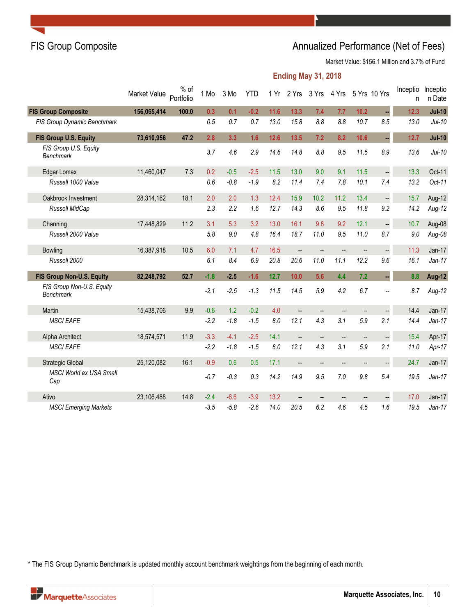## FIS Group Composite **Annualized Performance (Net of Fees)** Annualized Performance (Net of Fees)

Market Value: \$156.1 Million and 3.7% of Fund

### **Ending May 31, 2018**

|                                               | Market Value | $%$ of<br>Portfolio | 1 Mo   | 3 Mo   | <b>YTD</b> | 1Yr  |                          | 2 Yrs 3 Yrs              | 4 Yrs                    | 5 Yrs 10 Yrs |                      | Inceptio<br>n | Inceptio<br>n Date |
|-----------------------------------------------|--------------|---------------------|--------|--------|------------|------|--------------------------|--------------------------|--------------------------|--------------|----------------------|---------------|--------------------|
| <b>FIS Group Composite</b>                    | 156,065,414  | 100.0               | 0.3    | 0.1    | $-0.2$     | 11.6 | 13.3                     | 7.4                      | 7.7                      | 10.2         | ÷,                   | 12.3          | $Jul-10$           |
| <b>FIS Group Dynamic Benchmark</b>            |              |                     | 0.5    | 0.7    | 0.7        | 13.0 | 15.8                     | 8.8                      | 8.8                      | 10.7         | 8.5                  | 13.0          | $Jul-10$           |
| FIS Group U.S. Equity                         | 73,610,956   | 47.2                | 2.8    | 3.3    | 1.6        | 12.6 | 13.5                     | 7.2                      | 8.2                      | 10.6         | ÷,                   | 12.7          | $Jul-10$           |
| FIS Group U.S. Equity<br><b>Benchmark</b>     |              |                     | 3.7    | 4.6    | 2.9        | 14.6 | 14.8                     | 8.8                      | 9.5                      | 11.5         | 8.9                  | 13.6          | $Jul-10$           |
| Edgar Lomax                                   | 11,460,047   | 7.3                 | 0.2    | $-0.5$ | $-2.5$     | 11.5 | 13.0                     | 9.0                      | 9.1                      | 11.5         | $\ddot{\phantom{0}}$ | 13.3          | Oct-11             |
| Russell 1000 Value                            |              |                     | 0.6    | $-0.8$ | $-1.9$     | 8.2  | 11.4                     | 7.4                      | 7.8                      | 10.1         | 7.4                  | 13.2          | Oct-11             |
| Oakbrook Investment                           | 28,314,162   | 18.1                | 2.0    | 2.0    | 1.3        | 12.4 | 15.9                     | 10.2                     | 11.2                     | 13.4         | $\ddot{\phantom{0}}$ | 15.7          | Aug-12             |
| Russell MidCap                                |              |                     | 2.3    | 2.2    | 1.6        | 12.7 | 14.3                     | 8.6                      | 9.5                      | 11.8         | 9.2                  | 14.2          | $Aug-12$           |
| Channing                                      | 17,448,829   | 11.2                | 3.1    | 5.3    | 3.2        | 13.0 | 16.1                     | 9.8                      | 9.2                      | 12.1         | $\ddot{\phantom{0}}$ | 10.7          | Aug-08             |
| Russell 2000 Value                            |              |                     | 5.8    | 9.0    | 4.8        | 16.4 | 18.7                     | 11.0                     | 9.5                      | 11.0         | 8.7                  | 9.0           | $Aug-08$           |
| <b>Bowling</b>                                | 16,387,918   | 10.5                | 6.0    | 7.1    | 4.7        | 16.5 | $\overline{\phantom{a}}$ | Щ,                       | $\overline{\phantom{a}}$ | --           |                      | 11.3          | $Jan-17$           |
| Russell 2000                                  |              |                     | 6.1    | 8.4    | 6.9        | 20.8 | 20.6                     | 11.0                     | 11.1                     | 12.2         | 9.6                  | 16.1          | $Jan-17$           |
| FIS Group Non-U.S. Equity                     | 82,248,792   | 52.7                | $-1.8$ | $-2.5$ | $-1.6$     | 12.7 | 10.0                     | 5.6                      | 4.4                      | 7.2          | ÷,                   | 8.8           | <b>Aug-12</b>      |
| FIS Group Non-U.S. Equity<br><b>Benchmark</b> |              |                     | $-2.1$ | $-2.5$ | $-1.3$     | 11.5 | 14.5                     | 5.9                      | 4.2                      | 6.7          | --                   | 8.7           | $Aug-12$           |
| Martin                                        | 15,438,706   | 9.9                 | $-0.6$ | 1.2    | $-0.2$     | 4.0  | $\overline{a}$           | $\overline{\phantom{a}}$ | $\overline{\phantom{a}}$ | --           | $\overline{a}$       | 14.4          | $Jan-17$           |
| <b>MSCI EAFE</b>                              |              |                     | $-2.2$ | $-1.8$ | $-1.5$     | 8.0  | 12.1                     | 4.3                      | 3.1                      | 5.9          | 2.1                  | 14.4          | $Jan-17$           |
| Alpha Architect                               | 18,574,571   | 11.9                | $-3.3$ | $-4.1$ | $-2.5$     | 14.1 | $\overline{\phantom{a}}$ | --                       | $\overline{\phantom{a}}$ | --           | $\Box$               | 15.4          | Apr-17             |
| <b>MSCI EAFE</b>                              |              |                     | $-2.2$ | $-1.8$ | $-1.5$     | 8.0  | 12.1                     | 4.3                      | 3.1                      | 5.9          | 2.1                  | 11.0          | Apr-17             |
| Strategic Global                              | 25,120,082   | 16.1                | $-0.9$ | 0.6    | 0.5        | 17.1 | $\overline{\phantom{a}}$ | $\overline{\phantom{a}}$ | $\overline{\phantom{a}}$ | --           | $\overline{a}$       | 24.7          | $Jan-17$           |
| <b>MSCI World ex USA Small</b><br>Cap         |              |                     | $-0.7$ | $-0.3$ | 0.3        | 14.2 | 14.9                     | 9.5                      | 7.0                      | 9.8          | 5.4                  | 19.5          | $Jan-17$           |
| Ativo                                         | 23,106,488   | 14.8                | $-2.4$ | $-6.6$ | $-3.9$     | 13.2 | $\overline{\phantom{a}}$ | $\qquad \qquad -$        | --                       | --           | --                   | 17.0          | $Jan-17$           |
| <b>MSCI Emerging Markets</b>                  |              |                     | $-3.5$ | $-5.8$ | $-2.6$     | 14.0 | 20.5                     | 6.2                      | 4.6                      | 4.5          | 1.6                  | 19.5          | $Jan-17$           |

\* The FIS Group Dynamic Benchmark is updated monthly account benchmark weightings from the beginning of each month.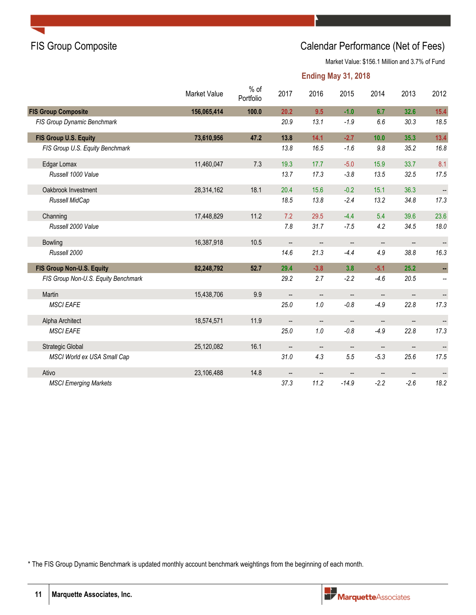## FIS Group Composite Calendar Performance (Net of Fees)

Market Value: \$156.1 Million and 3.7% of Fund

#### **Ending May 31, 2018**

|                                     | Market Value | $%$ of<br>Portfolio | 2017                     | 2016                     | 2015                     | 2014                     | 2013                     | 2012                     |
|-------------------------------------|--------------|---------------------|--------------------------|--------------------------|--------------------------|--------------------------|--------------------------|--------------------------|
| <b>FIS Group Composite</b>          | 156,065,414  | 100.0               | 20.2                     | 9.5                      | $-1.0$                   | 6.7                      | 32.6                     | 15.4                     |
| FIS Group Dynamic Benchmark         |              |                     | 20.9                     | 13.1                     | $-1.9$                   | 6.6                      | 30.3                     | 18.5                     |
| FIS Group U.S. Equity               | 73,610,956   | 47.2                | 13.8                     | 14.1                     | $-2.7$                   | 10.0                     | 35.3                     | 13.4                     |
| FIS Group U.S. Equity Benchmark     |              |                     | 13.8                     | 16.5                     | $-1.6$                   | 9.8                      | 35.2                     | 16.8                     |
| Edgar Lomax                         | 11,460,047   | 7.3                 | 19.3                     | 17.7                     | $-5.0$                   | 15.9                     | 33.7                     | 8.1                      |
| Russell 1000 Value                  |              |                     | 13.7                     | 17.3                     | $-3.8$                   | 13.5                     | 32.5                     | 17.5                     |
| Oakbrook Investment                 | 28,314,162   | 18.1                | 20.4                     | 15.6                     | $-0.2$                   | 15.1                     | 36.3                     |                          |
| Russell MidCap                      |              |                     | 18.5                     | 13.8                     | $-2.4$                   | 13.2                     | 34.8                     | 17.3                     |
| Channing                            | 17,448,829   | 11.2                | 7.2                      | 29.5                     | $-4.4$                   | 5.4                      | 39.6                     | 23.6                     |
| Russell 2000 Value                  |              |                     | 7.8                      | 31.7                     | $-7.5$                   | 4.2                      | 34.5                     | 18.0                     |
| <b>Bowling</b>                      | 16,387,918   | 10.5                | $\overline{\phantom{a}}$ | $\overline{\phantom{a}}$ | --                       | $\overline{\phantom{a}}$ | $\overline{\phantom{a}}$ |                          |
| Russell 2000                        |              |                     | 14.6                     | 21.3                     | $-4.4$                   | 4.9                      | 38.8                     | 16.3                     |
| FIS Group Non-U.S. Equity           | 82,248,792   | 52.7                | 29.4                     | $-3.8$                   | 3.8                      | $-5.1$                   | 25.2                     | н,                       |
| FIS Group Non-U.S. Equity Benchmark |              |                     | 29.2                     | 2.7                      | $-2.2$                   | $-4.6$                   | 20.5                     | $\overline{\phantom{a}}$ |
| Martin                              | 15,438,706   | 9.9                 |                          |                          |                          | --                       |                          |                          |
| <b>MSCI EAFE</b>                    |              |                     | 25.0                     | 1.0                      | $-0.8$                   | $-4.9$                   | 22.8                     | 17.3                     |
| Alpha Architect                     | 18,574,571   | 11.9                | $\overline{\phantom{a}}$ | $\qquad \qquad \qquad -$ | $\overline{\phantom{a}}$ | $\overline{\phantom{a}}$ | $\overline{\phantom{m}}$ | $\overline{\phantom{a}}$ |
| <b>MSCI EAFE</b>                    |              |                     | 25.0                     | 1.0                      | $-0.8$                   | $-4.9$                   | 22.8                     | 17.3                     |
| <b>Strategic Global</b>             | 25,120,082   | 16.1                | $\overline{\phantom{a}}$ | $\overline{\phantom{a}}$ | $\overline{\phantom{a}}$ | $\overline{\phantom{a}}$ | $\overline{\phantom{a}}$ |                          |
| MSCI World ex USA Small Cap         |              |                     | 31.0                     | 4.3                      | 5.5                      | $-5.3$                   | 25.6                     | 17.5                     |
| Ativo                               | 23,106,488   | 14.8                | $\overline{\phantom{a}}$ |                          | $\overline{\phantom{a}}$ | $\overline{\phantom{a}}$ |                          |                          |
| <b>MSCI Emerging Markets</b>        |              |                     | 37.3                     | 11.2                     | $-14.9$                  | $-2.2$                   | $-2.6$                   | 18.2                     |

\* The FIS Group Dynamic Benchmark is updated monthly account benchmark weightings from the beginning of each month.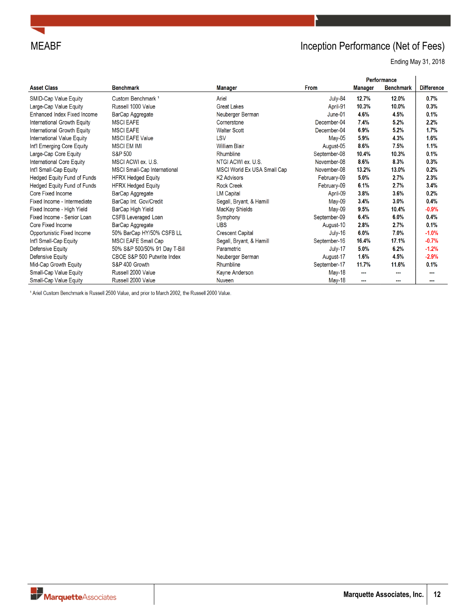

# MEABF **Inception Performance (Net of Fees)**

Ending May 31, 2018

|                                    |                               |                             |              |         | Performance      |                   |
|------------------------------------|-------------------------------|-----------------------------|--------------|---------|------------------|-------------------|
| <b>Asset Class</b>                 | <b>Benchmark</b>              | Manager                     | <b>From</b>  | Manager | <b>Benchmark</b> | <b>Difference</b> |
| SMID-Cap Value Equity              | Custom Benchmark <sup>1</sup> | Ariel                       | July-84      | 12.7%   | 12.0%            | 0.7%              |
| Large-Cap Value Equity             | Russell 1000 Value            | <b>Great Lakes</b>          | April-91     | 10.3%   | 10.0%            | 0.3%              |
| Enhanced Index Fixed Income        | BarCap Aggregate              | Neuberger Berman            | June-01      | 4.6%    | 4.5%             | 0.1%              |
| International Growth Equity        | <b>MSCI EAFE</b>              | Cornerstone                 | December-04  | 7.4%    | 5.2%             | 2.2%              |
| International Growth Equity        | <b>MSCI EAFE</b>              | <b>Walter Scott</b>         | December-04  | 6.9%    | 5.2%             | 1.7%              |
| International Value Equity         | <b>MSCI EAFE Value</b>        | LSV                         | May-05       | 5.9%    | 4.3%             | 1.6%              |
| Int'l Emerging Core Equity         | <b>MSCI EM IMI</b>            | <b>William Blair</b>        | August-05    | 8.6%    | 7.5%             | 1.1%              |
| Large-Cap Core Equity              | <b>S&amp;P 500</b>            | Rhumbline                   | September-08 | 10.4%   | 10.3%            | 0.1%              |
| International Core Equity          | MSCI ACWI ex. U.S.            | NTGI ACWI ex. U.S.          | November-08  | 8.6%    | 8.3%             | 0.3%              |
| Int'l Small-Cap Equity             | MSCI Small-Cap International  | MSCI World Ex USA Small Cap | November-08  | 13.2%   | 13.0%            | 0.2%              |
| Hedged Equity Fund of Funds        | <b>HFRX Hedged Equity</b>     | <b>K2 Advisors</b>          | February-09  | 5.0%    | 2.7%             | 2.3%              |
| <b>Hedged Equity Fund of Funds</b> | <b>HFRX Hedged Equity</b>     | <b>Rock Creek</b>           | February-09  | 6.1%    | 2.7%             | 3.4%              |
| Core Fixed Income                  | BarCap Aggregate              | <b>LM Capital</b>           | April-09     | 3.8%    | 3.6%             | 0.2%              |
| Fixed Income - Intermediate        | BarCap Int. Gov/Credit        | Segall, Bryant, & Hamill    | May-09       | 3.4%    | 3.0%             | 0.4%              |
| Fixed Income - High Yield          | BarCap High Yield             | MacKay Shields              | May-09       | 9.5%    | 10.4%            | $-0.9%$           |
| Fixed Income - Senior Loan         | <b>CSFB Leveraged Loan</b>    | Symphony                    | September-09 | 6.4%    | 6.0%             | 0.4%              |
| Core Fixed Income                  | BarCap Aggregate              | <b>UBS</b>                  | August-10    | 2.8%    | 2.7%             | 0.1%              |
| Opportunistic Fixed Income         | 50% BarCap HY/50% CSFB LL     | <b>Crescent Capital</b>     | July-16      | 6.0%    | 7.0%             | $-1.0%$           |
| Int'l Small-Cap Equity             | MSCI EAFE Small Cap           | Segall, Bryant, & Hamill    | September-16 | 16.4%   | 17.1%            | $-0.7%$           |
| Defensive Equity                   | 50% S&P 500/50% 91 Day T-Bill | Parametric                  | July-17      | 5.0%    | 6.2%             | $-1.2%$           |
| Defensive Equity                   | CBOE S&P 500 Putwrite Index   | Neuberger Berman            | August-17    | 1.6%    | 4.5%             | $-2.9%$           |
| Mid-Cap Growth Equity              | S&P 400 Growth                | Rhumbline                   | September-17 | 11.7%   | 11.6%            | 0.1%              |
| Small-Cap Value Equity             | Russell 2000 Value            | Kayne Anderson              | May-18       | ---     | ---              | ---               |
| Small-Can Value Foulty             | Russell 2000 Value            | Nuveen                      | $M$ ay-18    | $\sim$  | $- - -$          |                   |

<sup>1</sup> Ariel Custom Benchmark is Russell 2500 Value, and prior to March 2002, the Russell 2000 Value.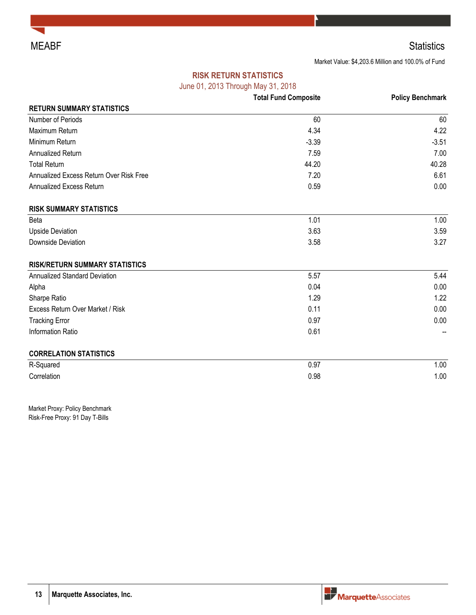

## MEABF Statistics

Market Value: \$4,203.6 Million and 100.0% of Fund

### **RISK RETURN STATISTICS**

June 01, 2013 Through May 31, 2018

|                                         | <b>Total Fund Composite</b> | <b>Policy Benchmark</b> |
|-----------------------------------------|-----------------------------|-------------------------|
| <b>RETURN SUMMARY STATISTICS</b>        |                             |                         |
| Number of Periods                       | 60                          | 60                      |
| Maximum Return                          | 4.34                        | 4.22                    |
| Minimum Return                          | $-3.39$                     | $-3.51$                 |
| Annualized Return                       | 7.59                        | 7.00                    |
| <b>Total Return</b>                     | 44.20                       | 40.28                   |
| Annualized Excess Return Over Risk Free | 7.20                        | 6.61                    |
| Annualized Excess Return                | 0.59                        | 0.00                    |
| <b>RISK SUMMARY STATISTICS</b>          |                             |                         |
| Beta                                    | 1.01                        | 1.00                    |
| <b>Upside Deviation</b>                 | 3.63                        | 3.59                    |
| Downside Deviation                      | 3.58                        | 3.27                    |
| <b>RISK/RETURN SUMMARY STATISTICS</b>   |                             |                         |
| Annualized Standard Deviation           | 5.57                        | 5.44                    |
| Alpha                                   | 0.04                        | 0.00                    |
| Sharpe Ratio                            | 1.29                        | 1.22                    |
| Excess Return Over Market / Risk        | 0.11                        | 0.00                    |
| <b>Tracking Error</b>                   | 0.97                        | 0.00                    |
| Information Ratio                       | 0.61                        |                         |
| <b>CORRELATION STATISTICS</b>           |                             |                         |
| R-Squared                               | 0.97                        | 1.00                    |
| Correlation                             | 0.98                        | 1.00                    |

Market Proxy: Policy Benchmark Risk-Free Proxy: 91 Day T-Bills